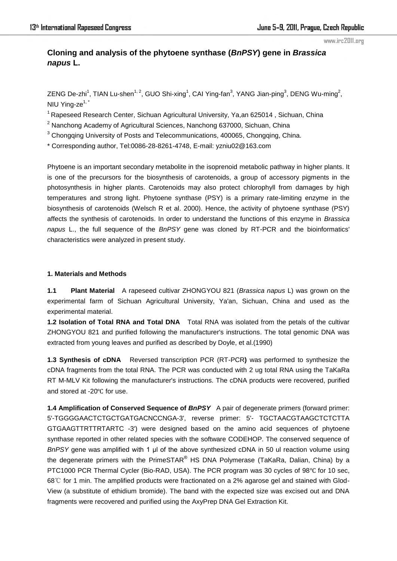# **Cloning and analysis of the phytoene synthase (***BnPSY***) gene in** *Brassica napus* **L.**

ZENG De-zhi<sup>1</sup>, TIAN Lu-shen<sup>1, 2</sup>, GUO Shi-xing<sup>1</sup>, CAI Ying-fan<sup>3</sup>, YANG Jian-ping<sup>3</sup>, DENG Wu-ming<sup>2</sup>, NIU Ying-ze $1,$ <sup>\*</sup>

<sup>1</sup> Rapeseed Research Center, Sichuan Agricultural University, Ya,an 625014, Sichuan, China

 $2$  Nanchong Academy of Agricultural Sciences, Nanchong 637000, Sichuan, China

 $3$  Chongqing University of Posts and Telecommunications, 400065, Chongqing, China.

\* Corresponding author, Tel:0086-28-8261-4748, E-mail: yzniu02@163.com

Phytoene is an important secondary metabolite in the isoprenoid [metabolic pathway](dict://key.0895DFE8DB67F9409DB285590D870EDD/metabolic%20pathway) in highe[r plants](dict://key.0895DFE8DB67F9409DB285590D870EDD/advanced%20plant). It is one of the precursors for the biosynthesis of carotenoids, a group of accessory pigments in the photosynthesis in higher plants. Carotenoids may also protect chlorophyll from damages by high temperatures and strong light. Phytoene synthase (PSY) is a primary rate-limiting enzyme in the biosynthesis of carotenoids (Welsch R et al. 2000). Hence, the activity of phytoene synthase (PSY) affects the synthesis of carotenoids. In order to understand the functions of this enzyme in *Brassica napus* L., the full sequence of the *BnPSY* gene was cloned by RT-PCR and the bioinformatics' characteristics were analyzed in present study.

# **1. Materials and Methods**

**1.1 Plant Material** A rapeseed cultivar ZHONGYOU 821 (*Brassica napus* L) was grown on the experimental farm of Sichuan Agricultural University, Ya'an, Sichuan, China and used as the experimental material.

**1.2 Isolation of Total RNA and Total DNA** Total RNA was isolated from the petals of the cultivar ZHONGYOU 821 and purified following the manufacturer's instructions. The total genomic DNA was extracted from young leaves and purified as described by Doyle, et al.(1990)

**1.3 Synthesis of cDNA** Reversed transcription PCR (RT-PCR**)** was performed to synthesize the cDNA fragments from the total RNA. The PCR was conducted with 2 ug total RNA using the TaKaRa RT M-MLV Kit following the manufacturer's instructions. The cDNA products were recovered, purified and stored at -20℃ for use.

**1.4 Amplification of Conserved Sequence of** *BnPSY*A pair of degenerate primers (forward primer: 5'-TGGGGAACTCTGCTGATGACNCCNGA-3', reverse primer: 5'- TGCTAACGTAAGCTCTCTTA GTGAAGTTRTTRTARTC -3') were designed based on the amino acid sequences of phytoene synthase reported in other related species with the software CODEHOP. The conserved sequence of *BnPSY* gene was amplified with 1 μl of the above synthesized cDNA in 50 ul reaction volume using the degenerate primers with the PrimeSTAR $^{\circledast}$  HS DNA Polymerase (TaKaRa, Dalian, China) by a PTC1000 PCR Thermal Cycler (Bio-RAD, USA). The PCR program was 30 cycles of 98℃ for 10 sec, 68℃ for 1 min. The amplified products were fractionated on a 2% agarose gel and stained with Glod-View (a substitute of ethidium bromide). The band with the expected size was excised out and DNA fragments were recovered and purified using the AxyPrep DNA Gel Extraction Kit.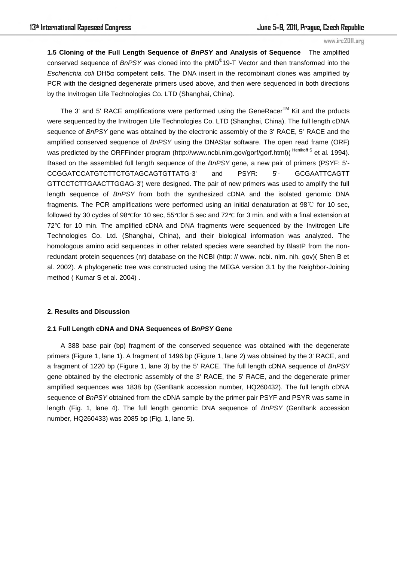**1.5 Cloning of the Full Length Sequence of** *BnPSY* **and Analysis of Sequence** The amplified conserved sequence of *BnPSY* was cloned into the pMD® 19-T Vector and then transformed into the *Escherichia coli* DH5α competent cells. The DNA insert in the recombinant clones was amplified by PCR with the designed degenerate primers used above, and then were sequenced in both directions by the Invitrogen Life Technologies Co. LTD (Shanghai, China).

The 3' and 5' RACE amplifications were performed using the GeneRacer<sup>TM</sup> Kit and the prducts were sequenced by the Invitrogen Life Technologies Co. LTD (Shanghai, China). The full length cDNA sequence of *BnPSY* gene was obtained by the electronic assembly of the 3' RACE, 5' RACE and the amplified conserved sequence of *BnPSY* using the DNAStar software. The open read frame (ORF) was predicted by the ORFFinder program (http://www.ncbi.nlm.gov/gorf/gorf.html)(<sup>Henikoff S</sup> et al. 1994). Based on the assembled full length sequence of the *BnPSY* gene, a new pair of primers (PSYF: 5'- CCGGATCCATGTCTTCTGTAGCAGTGTTATG-3' and PSYR: 5'- GCGAATTCAGTT GTTCCTCTTGAACTTGGAG-3') were designed. The pair of new primers was used to amplify the full length sequence of *BnPSY* from both the synthesized cDNA and the isolated genomic DNA fragments. The PCR amplifications were performed using an initial denaturation at 98℃ for 10 sec, followed by 30 cycles of 98℃for 10 sec, 55℃for 5 sec and 72℃ for 3 min, and with a final extension at 72℃ for 10 min. The amplified cDNA and DNA fragments were sequenced by the Invitrogen Life Technologies Co. Ltd. (Shanghai, China), and their biological information was analyzed. The homologous amino acid sequences in other related species were searched by BlastP from the nonredundant protein sequences (nr) database on the NCBI (http: // www. ncbi. nlm. nih. gov)( Shen B et al. 2002). A phylogenetic tree was constructed using the MEGA version 3.1 by the Neighbor-Joining method ( Kumar S et al. 2004) .

## **2. Results and Discussion**

#### **2.1 Full Length cDNA and DNA Sequences of** *BnPSY* **Gene**

A 388 base pair (bp) fragment of the conserved sequence was obtained with the degenerate primers (Figure 1, lane 1). A fragment of 1496 bp (Figure 1, lane 2) was obtained by the 3' RACE, and a fragment of 1220 bp (Figure 1, lane 3) by the 5' RACE. The full length cDNA sequence of *BnPSY* gene obtained by the electronic assembly of the 3' RACE, the 5' RACE, and the degenerate primer amplified sequences was 1838 bp (GenBank accession number, HQ260432). The full length cDNA sequence of *BnPSY* obtained from the cDNA sample by the primer pair PSYF and PSYR was same in length (Fig. 1, lane 4). The full length genomic DNA sequence of *BnPSY* (GenBank accession number, HQ260433) was 2085 bp (Fig. 1, lane 5).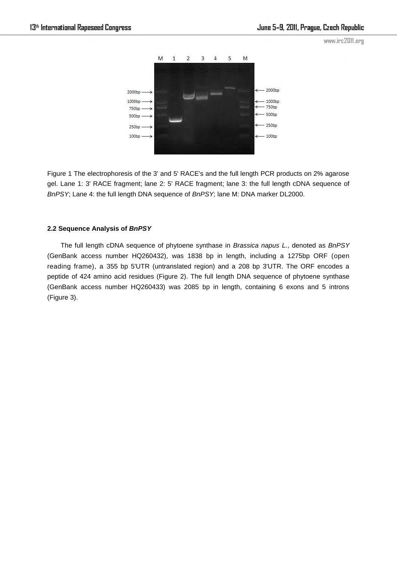

Figure 1 The electrophoresis of the 3' and 5' RACE's and the full length PCR products on 2% agarose gel. Lane 1: 3' RACE fragment; lane 2: 5' RACE fragment; lane 3: the full length cDNA sequence of *BnPSY*; Lane 4: the full length DNA sequence of *BnPSY*; lane M: DNA marker DL2000.

# **2.2 Sequence Analysis of** *BnPSY*

The full length cDNA sequence of phytoene synthase in *Brassica napus L.*, denoted as *BnPSY* (GenBank access number HQ260432), was 1838 bp in length, including a 1275bp ORF (open reading frame), a 355 bp 5'UTR (untranslated region) and a 208 bp 3'UTR. The ORF encodes a peptide of 424 amino acid residues (Figure 2). The full length DNA sequence of phytoene synthase (GenBank access number HQ260433) was 2085 bp in length, containing 6 exons and 5 introns (Figure 3).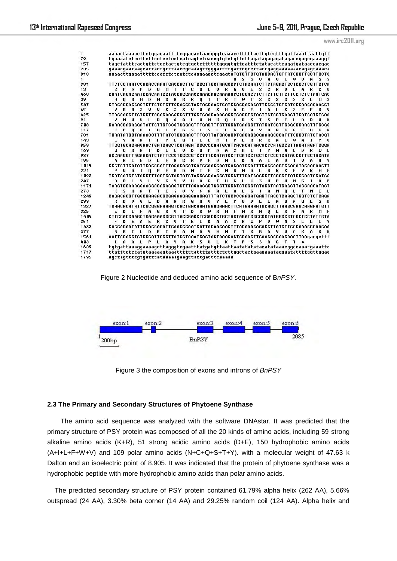| 1    |                                                                                                                                                                                                                       |
|------|-----------------------------------------------------------------------------------------------------------------------------------------------------------------------------------------------------------------------|
| 79   |                                                                                                                                                                                                                       |
| 157  | tagctatttcactgttctgctactgtcgtgctcttttttggggtgttcatttctatacattcagatgataaccacgac                                                                                                                                        |
| 235  | qaaacqaataaqcattactqtttaaccqcaaaqttqqqattttqattcqtcttattqaqqaaaaaaacaqaqtaaaca                                                                                                                                        |
| 313  | aaaagttgagatttttccacctctcatctcaagaagctcgagtATGTCTTCTGTAGCAGTGTTATGGGTTGCTTCCTC                                                                                                                                        |
| 1    | M S S U A U L W U A S S                                                                                                                                                                                               |
| 391  |                                                                                                                                                                                                                       |
| 13   | S P N P D O M T T C G L U R A U E S S<br>R<br>U<br>L<br>A<br>R<br>$\bf{0}$                                                                                                                                            |
| 469  | GAATCAGAGAATGGACAATGGTAGGAGGAAGCAAACAACAAAACGTGGACCTCTTCTTCTTCCTCTCTAATGAG                                                                                                                                            |
| 39   | R R K O T T K T W T S S<br>DNG<br>s.<br>s.<br>$S$ $S$<br>м<br>ு ப<br>R<br>- M<br>$\sim 100$<br>- S<br>N                                                                                                               |
| 547  | CTACAGGAGGAGTGTTGTCTTCGAGCGTAGTAGCAAGTCATGCAGGAGAGATTGCCCTCTCATCCGAAGAGAAGGT                                                                                                                                          |
| 65   | U U S S S U U A S H A G E I A L S S E E<br>R<br>R S<br>$\mathbf{R}$                                                                                                                                                   |
| 625  |                                                                                                                                                                                                                       |
| 91   | <b>Q A A L U N K Q L R S T S</b><br>R<br>P<br>F.<br>т.<br>Đ<br>п<br>н<br>U<br>ய<br>$\mathbf{L}$<br>Đ<br>к                                                                                                             |
| 703  | GAAACCACAGGATATTGTTCTCCCTGGGAGTTTGAGTTTGTTGGGTGAAGCTTATGATCGTTGCGGCGAAGTTTGCGC                                                                                                                                        |
| 117  | O D I U L P G S L S L L G E A<br>Y.<br>D<br>$\mathbf{R}$<br>C.<br>G F U<br>r.<br>K P<br>A                                                                                                                             |
| 781  | TGAATATGCTAAAACCTTTTATCTCGGAACTTTGCTTATGACACCTGAGAGGCGAAAGGCCATTTGGGCTATCTACGT                                                                                                                                        |
| 143  | $\mathbf{R}$<br>Y<br>G<br>M T P E R R<br>к<br>A<br>w<br>$\mathbf{A}$<br>E<br>Υ.<br>$\mathbf{a}$<br>T F<br><b>STAR</b><br><b>STATE</b><br><b>TER</b><br>1<br>т                                                         |
| 859  |                                                                                                                                                                                                                       |
| 169  | N A S<br>D E<br>$\blacksquare$<br><b>G</b><br>H<br>$\mathbf{A}$<br>- C<br>R<br>$\mathbf{R}$<br>$\mathbf{T}$<br>U<br>D<br>$\mathbf{P}$<br>$\bf{I}$<br>$\mathbf{T}$<br>$\mathbf{P}$<br>м<br>L<br>D<br>R<br>ω<br>E<br>w. |
| 937  | AGCAAGGTTAGAAGATCTATTCCGTGGCCGTCCTTTCGATATGCTTGATGCTGCTCTCGCTGATACCGTTGCTAGATA                                                                                                                                        |
| 195  | L E D L F R G R P F D M L D A<br>$A$ L<br>$\mathbf{A}$<br>D<br>R<br>T U<br>A<br>R                                                                                                                                     |
| 1015 | CCCTGTTGATATTCAGCCATTTAGAGACATGATCGAAGGAATGAGAATGGATTTGAGGAAGTCCAGATACAAGAACTT                                                                                                                                        |
| 221  | <b>MIEGHRMDL</b><br>$\mathbf{R}$<br>$0$ P F<br>R D<br>к<br>S.<br>R<br>к<br>U<br>D<br>$\bf{I}$                                                                                                                         |
| 1093 | TGATGATCTCTACCTTTACTGCTACTATGTAGCCGGAACCGTCGGTTTGATGAGCGTTCCGGTTATGGGAATCGATCC                                                                                                                                        |
| 247  | c<br>Y Y U A<br><b>GTUGLMS</b><br>U<br>P U<br>Đ<br>Đ<br>81 S<br>Y L<br>™.<br>M<br>- 6<br>D<br>$\mathbf{P}$<br>L                                                                                                       |
| 1171 | TAAGTCCAAAGCAACGACAGAGAGTGTTTACAACGCTGCCTTGGCTCTCGGTATAGCTAATCAGCTTACCAACATACT                                                                                                                                        |
| 273  | S K A<br>T T E S U Y N A A L A L G I A N O L T N I<br>к<br>$\sim$ 100 $\mu$                                                                                                                                           |
| 1249 | CAGAGACGTTGGCGAAGACGCGAGAAGAGGAAGAGTTTATCTGCCCCAAGATGAGTTAGCTCAAGCTGGTCTCTCAGA                                                                                                                                        |
| 299  | <b>G</b><br>D A<br>R R<br>6<br>$\mathbf{R}$<br>UYLP<br>$0$ $D$ $E$ $L$<br>$\mathbf{u}$<br>D<br>U<br>E<br>$\mathbf{A}$<br>$\mathbf{A}$<br>- 6<br>$\blacksquare$<br>s<br>D<br>R                                         |
| 1327 | TGAAGACATATTCGCGGGAAAAGTCACTGACAAATGGAGAACTTCATGAAAATGCAGCTTAAGCGAGCAAGAATGTT                                                                                                                                         |
| 325  | $A \tB$<br>K U T D K W R N F M K M O L K<br>Đ<br>$\mathbf{r}$<br>F.<br>R<br>$\mathbf{a}$<br>м<br>R.<br>F                                                                                                              |
| 1405 | CTTCGACGAAGCTGAGAAAGGCGTTACCGAGCTCGACGCTGCTAGTAGATGGCCGGTATGGGCGTCGCTCCTATTGTA                                                                                                                                        |
| 351  | D A A S R W P U<br>$\mathbf{A}$<br>F<br>к<br>G<br>UTEL<br>₩<br>$\mathbf{a}$<br>2<br>F.<br>$\sim$ 10 $\pm$                                                                                                             |
| 1483 | CAGGAGAATATTGGACGAGATTGAAGCGAATGATTACAACAACTTTACAAAGAGAGCTTATGTTGGGAAAGCCAAGAA                                                                                                                                        |
| 377  | E<br>E A N D Y N N F T K R A Y U<br>G<br>к<br>к<br>R<br>т<br>$\mathbf{L}$<br>D<br>$\blacksquare$<br>$\mathbf{A}$<br>к<br>R                                                                                            |
| 1561 | AATTGCAGCTCTGCCATTGGCTTATGCTAAATCAGTACTAAAGACTCCAAGTTCAAGAGGAACAACTTAAgaggcttt                                                                                                                                        |
| 403  | A L P L A Y A K S U L K T P S S R G T T<br>т.<br>$\mathbf{a}$<br>$\ast$                                                                                                                                               |
| 1639 |                                                                                                                                                                                                                       |
| 1717 |                                                                                                                                                                                                                       |
| 1795 | agctagttttgtgatttataaaaagaagttactgatttcaaaaa                                                                                                                                                                          |
|      |                                                                                                                                                                                                                       |

Figure 2 Nucleotide and deduced amino acid sequence of B*nPSY*.



Figure 3 the composition of exons and introns of *BnPSY* 

# **2.3 The Primary and Secondary Structures of Phytoene Synthase**

The amino acid sequence was analyzed with the software DNAstar. It was predicted that the primary structure of PSY protein was composed of all the 20 kinds of amino acids, including 59 strong alkaline amino acids (K+R), 51 strong acidic amino acids (D+E), 150 hydrophobic amino acids (A+I+L+F+W+V) and 109 polar amino acids (N+C+Q+S+T+Y). with a molecular weight of 47.63 k Dalton and an isoelectric point of 8.905. It was indicated that the protein of phytoene synthase was a hydrophobic peptide with more hydrophobic amino acids than polar amino acids.

 The predicted secondary structure of PSY protein contained 61.79% alpha helix (262 AA), 5.66% outspread (24 AA), 3.30% beta corner (14 AA) and 29.25% random coil (124 AA). Alpha helix and